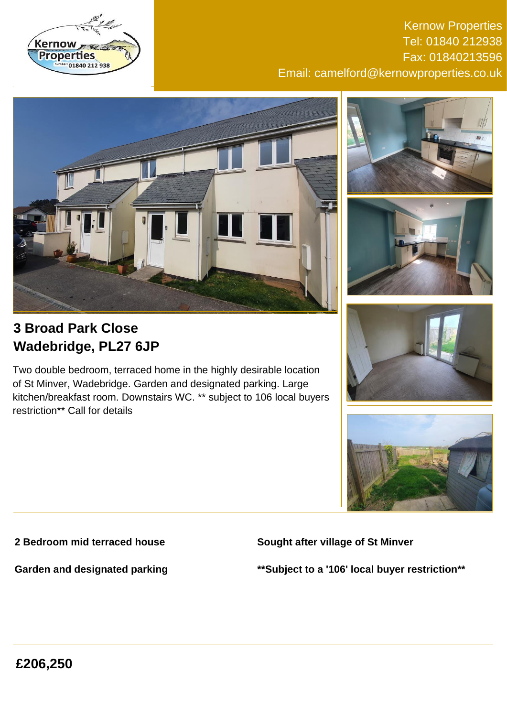

Kernow Properties Tel: 01840 212938 Fax: 01840213596 Email: camelford@kernowproperties.co.uk







# **3 Broad Park Close Wadebridge, PL27 6JP**

Two double bedroom, terraced home in the highly desirable location of St Minver, Wadebridge. Garden and designated parking. Large kitchen/breakfast room. Downstairs WC. \*\* subject to 106 local buyers restriction\*\* Call for details





## **2 Bedroom mid terraced house**

**Sought after village of St Minver**

**Garden and designated parking**

**\*\*Subject to a '106' local buyer restriction\*\***